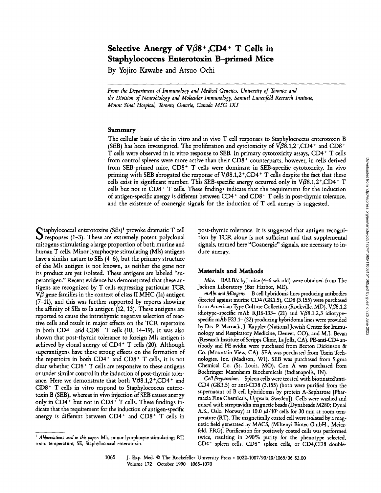# Selective Anergy of  $V\beta8^+$ ,CD4 + T Cells in Staphylococcus Enterotoxin B-primed Mice

By Yojiro Kawabe and Atsuo Ochi

From the Department of Immunology and Medical Genetics, University of Toronto; and the Division of Neurobiology and Molecular Immunology, Samuel Lunenfeld Research Institute, Mount Sinai Hospital, Toronto, Ontario, Canada M5G 1X5

# Summary

The cellular basis of the in vitro and in vivo T cell responses to Staphylococcus enterotoxin B (SEB) has been investigated. The proliferation and cytotoxicity of  $V\beta8.1,2^{\text{*}}$ ,CD4+ and CD8+ T cells were observed in in vitro response to SEB. In primary cytotoxicity assays, CD4+ T cells from control spleens were more active than their CD8+ counterparts, however, in cells derived from SEB-primed mice, CD8+ T cells were dominant in SEB-specific cytotoxicity. In vivo priming with SEB abrogated the response of  $V\beta8.1,2^{\ast}$ ,CD4<sup>+</sup> T cells despite the fact that these cells exist in significant number. This SEB-specific anergy occurred only in  $V\beta8.1,2^{\degree}$ ,CD4<sup>+</sup> T cells but not in  $CDS^+$  T cells. These findings indicate that the requirement for the induction of antigen-specific anergy is different between CD4' and CD8+ T cells in post-thymic tolerance, and the existence of coanergic signals for the induction of T cell anergy is suggested.

 $\Gamma$ taphylococcal enterotoxins (SEs)<sup>1</sup> provoke dramatic T cell  $\mathcal D$  responses (1-3). These are extremely potent polyclonal mitogens stimulating a large proportion of both murine and human T cells. Minor lymphocyte stimulating (Mls) antigens have <sup>a</sup> similar nature to SEs (4-6), but the primary structure of the Mls antigen is not known, as neither the gene nor its product are yet isolated. These antigens are labeled "superantigen." Recent evidence has demonstrated that these antigens are recognized by T cells expressing particular TCR  $V\beta$  gene families in the context of class II MHC (Ia) antigen (7-11), and this was further supported by reports showing the affinity of SEs to la antigen (12, 13) . These antigens are reported to cause the intrathymic negative selection of reactive cells and result in major effects on the TCR repertoire in both  $CD4^+$  and  $CD8^+$  T cells (10, 14-19). It was also shown that post-thymic tolerance to foreign Mls antigen is achieved by clonal anergy of  $CD4^+$  T cells (20). Although superantigens have these strong effects on the formation of the repertoire in both CD4+ and CD8+ T cells, it is not clear whether  $CD8<sup>+</sup>$  T cells are responsive to these antigens or under similar control in the induction of post-thymic tolerance. Here we demonstrate that both  $V\beta\bar{8}.1,2^+,CD4^+$  and CD8+ T cells in vitro respond to Staphylococcus enterotoxin B (SEB), whereas in vivo injection of SEB causes anergy only in  $CD4^+$  but not in  $CD8^+$  T cells. These findings indicate that the requirement for the induction of antigen-specific anergy is different between  $CD4^+$  and  $CD8^+$  T cells in post-thymic tolerance. It is suggested that antigen recognition by TCR alone is not sufficient and that supplemental signals, termed here "Coanergic" signals, are necessary to induce anergy.

### Materials and Methods

Mice. BALB/c byJ mice (4-6 wk old) were obtained from The Jackson Laboratory (Bar Harbor, ME).

mAbs and Mitogens. B cell hybridoma lines producing antibodies directed against murine CD4 (GK1.5), CD8 (3 .155) were purchased from American Type Culture Collection (Rockville, MD). V $\beta$ 8.1,2 idiotype-specific mAb KJ16-133- (21) and V $\beta$ 8.1,2,3 idiotypespecific mAb F23 .1- (22) producing hybridoma lines were provided by Drs. P. Marrack, J. Kappler (National Jewish Center for Immunology and Respiratory Medicine, Denver, CO), and M.J. Bevan (Research Institute of Scripps Clinic, LaJolla, CA). PE-anti-CD4 antibody and PE-avidin were purchased from Becton Dickinson & Co. (Mountain View, CA). SEA was purchased from Toxin Technologies, Inc. (Madison, WI). SEB was purchased from Sigma Chemical Co. (St. Louis, MO). Con A was purchased from Boehringer Mannheim Biochemicals (Indianapolis, IN).

Cell Preparation. Spleen cells were treated with biotinated anti-CD4 (GK1.5) or anti-CD8 (3.155) (both were purified from the supernatant of B cell hybridomas by protein A-Sepharose [Pharmacia Fine Chemicals, Uppsala, Sweden]) . Cells were washed and mixed with streptavidin magnetic beads (Dynabeads M280; Dynal A.S., Oslo, Norway) at 10.0  $\mu$ 1/10<sup>5</sup> cells for 30 min at room temperature (RT). The magnetically coated cell were isolated by <sup>a</sup> magnetic field generated by MACS, (Miltenyi Biotec GmbH., Meitzfeld, FRG). Purification for positively coated cells was performed twice, resulting in >90% purity for the phenotype selected . CD4- spleen cells, CD8 - spleen cells, or CD4,CD8 double-

 $<sup>1</sup>$  Abbreviations used in this paper: Mls, minor lymphocyte stimulating; RT,</sup> room temperature; SE, Staphylococcal enterotoxin .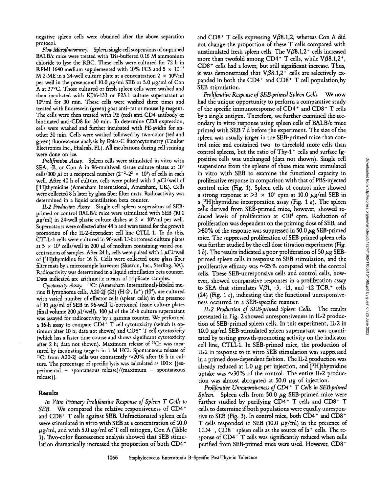negative spleen cells were obtained after the above separation protocol.

Flow Microfluorometry. Spleen single cell suspensions of unprimed BALB/c mice were treated with Tris-buffered 0.16 M ammonium chloride to lyse the RBC. These cells were cultured for <sup>72</sup> h in RPMI 1640 medium supplemented with 10% FCS and  $5 \times 10^{-5}$ M 2-ME in a 24-well culture plate at a concentration  $2 \times 10^6/\text{ml}$ per well in the presence of 10.0  $\mu$ g/ml SEB or 5.0  $\mu$ g/ml of Con A at 37°C. Those cultured or fresh spleen cells were washed and then incubated with KJ16-133 or F23.1 culture supernatant at 106 /ml for 30 min. These cells were washed three times and treated with fluorescein (green) goat anti-rat or mouse Ig reagent . The cells were then treated with PE (red) anti-CD4 antibody or biotinated anti-CD8 for 30 min . To determine CD8 expression, cells were washed and further incubated with PE-avidin for another 30 min. Cells were washed followed by two-color (red and green) fluorescence analysis by Epics-C fluorocytometry (Coulter Electronics Inc., Hialeah, FL) . All incubations during cell staining were done on ice.

Proliferation Assay. Spleen cells were stimulated in vitro with SEA, -B, or Con A in 96-multiwell tissue culture plates at  $10<sup>5</sup>$ cells/100  $\mu$ l or a reciprocal number (2<sup>-2</sup>-2<sup>2</sup> × 10<sup>4</sup>) of cells in each well. After 40 h of culture, cells were pulsed with 1  $\mu$ Ci/well of ['H]thymidine (Amersham International, Amersham, UK). Cells were collected <sup>8</sup> h later by glass fiber filter mats . Radioactivity was determined in a liquid scintillation beta counter.

IL2 Production Assay. Single cell spleen suspensions of SEBprimed or control BALB/c mice were stimulated with SEB (10.0  $\mu$ g/ml) in 24-well plastic culture dishes at 2 × 10<sup>6</sup>/ml per well. Supernatants were collected after 48 h and were tested for the growth promotion of the IL2-dependent cell line CTLL-1. To do this, CTLL-i cells were cultured in 96-well U-bottomed culture plates at 5  $\times$  10<sup>4</sup> cells/well in 200  $\mu$ l of medium containing varied concentrations of samples. After 24 h, cells were pulsed with 1  $\mu$ Ci/well of [<sup>3</sup>H]thymidine for 16 h. Cells were collected onto glass fiber filter mats by a microsample harvester (Skatron, Inc., Sterling, VA). Radioactivity was determined in <sup>a</sup> liquid scintillation beta counter. Data indicated are arithmetic means of triplicate samples.

Cytotoxicity Assay. <sup>51</sup>Cr (Amersham International)-labeled murine B lymphoma cells, A20-2J (23) (H-2<sup>d</sup>, Ia<sup>+</sup>) (10<sup>4</sup>), are cultured with varied number of effector cells (spleen cells) in the presence of 10  $\mu$ g/ml of SEB in 96-well U-bottomed tissue culture plates (final volume 200  $\mu$ 1/well). 100  $\mu$ 1 of the 16-h culture supernatant was assayed for radioactivity by a gamma counter. We performed a 16-h assay to compare CD4+ T cell cytotoxicity (which is optimum after 10 h; data not shown) and  $CDS^+$  T cell cytotoxicity (which has <sup>a</sup> faster time course and shows significant cytotoxicity after 2 h; data not shown). Maximum release of <sup>51</sup>Cr was measured by incubating targets in 1 M HCl. Spontaneous release of  $^{51}Cr$  from A20-2J cells was consistently  $\sim$ 20% after 16 h in culture. The percentage of specific lysis was calculated as  $100\times$  [(experimental - spontaneous release) /(maximum - spontaneous release)] .

## Results

In Vitro Primary Proliferative Response of Spleen T Cells to SEB. We compared the relative responsiveness of CD4+ and CD8<sup>+</sup> T cells against SEB. Unfractionated spleen cells were stimulated in vitro with SEB at a concentration of 10.0  $\mu$ g/ml, and with 5.0  $\mu$ g/ml of T cell mitogen, Con A (Table 1) . Two-color fluorescence analysis showed that SEB stimulation dramatically increased the proportion of both CD4+

and CD8<sup>+</sup> T cells expressing V $\beta$ 8.1,2, whereas Con A did not change the proportion of these T cells compared with unstimulated fresh spleen cells. The  $V\beta8.1,2^+$  cells increased more than twofold among CD4+ T cells, while  $V\beta8.1,2^+$ ,  $CD8<sup>+</sup>$  cells had a lower, but still significant increase. Thus, it was demonstrated that  $V\beta8.1,2^+$  cells are selectively expanded in both the  $CD4^+$  and  $CD8^+$  T cell population by SEB stimulation.

Proliferative Response of SEB-primed Spleen Cells. We now had the unique opportunity to perform a comparative study of the specific immunoresponse of CD4<sup>+</sup> and CD8<sup>+</sup> T cells by a single antigen. Therefore, we further examined the secondary in vitro response using spleen cells of BALB/c mice primed with SEB 7 d before the experiment. The size of the spleen was usually larger in the SEB-primed mice than control mice and contained two- to threefold more cells than control spleens, but the ratio of Thy-1<sup>+</sup> cells and surface Igpositive cells was unchanged (data not shown). Single cell suspensions from the spleens of these mice were stimulated in vitro with SEB to examine the functional capacity in proliferative response in comparison with that of PBS-injected control mice (Fig. 1). Spleen cells of control mice showed a strong response at  $>3 \times 10^4$  cpm at 10.0  $\mu$ g/ml SEB in a [<sup>3</sup>H]thymidine incorporation assay (Fig. 1 *a*). The spleen cells derived from SEB-primed mice, however, showed reduced levels of proliferation at <104 cpm. Reduction of proliferation was dependent on the priming dose of SEB, and  $>80\%$  of the response was suppressed in 50.0  $\mu$ g SEB-primed mice. The suppressed proliferation of SEB-primed spleen cells was further studied by the cell dose titration experiment (Fig. 1 b). The results indicated a poor proliferation of 50  $\mu$ g SEBprimed spleen cells in response to SEB stimulation, and the proliferative efficacy was  $\sim$  25% compared with the control cells . These SEB-unresponsive cells and control cells, however, showed comparative responses in a proliferation assay to SEA that stimulates  $V\beta1$ , -3, -11, and -12 TCR+ cells (24) (Fig. 1  $\epsilon$ ), indicating that the functional unresponsiveness occurred in a SEB-specific manner.

IL-2 Production of SEB-primed Spleen Cells. The results presented in Fig. 2 showed unresponsiveness in 11,2 production of SEB-primed spleen cells . In this experiment, IL-2 in 10.0  $\mu$ g/ml SEB-stimulated spleen supernatant was quantitated by testing growth-promoting activity on the indicator cell line, CTLL1 . In SEB-primed mice, the production of IL-2 in response to in vitro SEB stimulation was suppressed in <sup>a</sup> primed dose-dependent fashion. The IL2 production was already reduced at 1.0  $\mu$ g per injection, and  $[3H]$ thymidine uptake was  $\sim$ 30% of the control. The entire IL-2 production was almost abrogated at 50.0  $\mu$ g of injection.

Proliferative Unresponsiveness of CD4+ T Cells in SEB-primed Spleen. Spleen cells from 50.0  $\mu$ g SEB-primed mice were further studied by purifying CD4+ T cells and CD8+ T cells to determine if both populations were equally unresponsive to SEB (Fig. 3). In control mice, both CD4+ and CD8+ T cells responded to SEB (10.0  $\mu$ g/ml) in the presence of  $CD4^-$ ,  $CD8^-$  spleen cells as the source of  $Ia^+$  cells. The response of CD4<sup>+</sup> T cells was significantly reduced when cells purified from SEB-primed mice were used. However, CD8+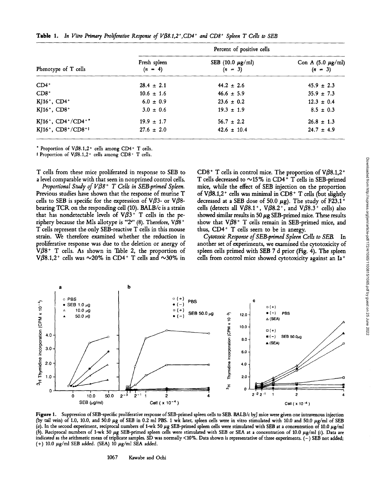|                                                         | Percent of positive cells |                                      |                                     |  |
|---------------------------------------------------------|---------------------------|--------------------------------------|-------------------------------------|--|
| Phenotype of T cells                                    | Fresh spleen<br>$(n = 4)$ | SEB $(10.0 \ \mu g/ml)$<br>$(n = 3)$ | Con A $(5.0 \mu g/ml)$<br>$(n = 3)$ |  |
| $CD4^+$                                                 | $28.4 \pm 2.1$            | $44.2 \pm 2.6$                       | $45.9 \pm 2.3$                      |  |
| $CD8+$                                                  | $10.6 \pm 1.6$            | $46.6 \pm 5.9$                       | $35.9 \pm 7.3$                      |  |
| $KJ16^+$ , CD4 <sup>+</sup>                             | $6.0 \pm 0.9$             | $23.6 \pm 0.2$                       | $12.3 \pm 0.4$                      |  |
| $KJ16^+$ , CD8 <sup>+</sup>                             | $3.0 \pm 0.6$             | $19.3 \pm 1.9$                       | $8.5 \pm 0.3$                       |  |
| KJ16+, CD4+/CD4+*                                       | $19.9 \pm 1.7$            | $56.7 \pm 2.2$                       | $26.8 \pm 1.3$                      |  |
| KJ16 <sup>+</sup> , CD8 <sup>+</sup> /CD8 <sup>+‡</sup> | $27.6 \pm 2.0$            | $42.6 \pm 10.4$                      | $24.7 \pm 4.9$                      |  |

**Table 1.** In Vitro Primary Proliferative Response of  $V\beta8.1,2^{\ast}$ , CD4<sup>+</sup> and CD8<sup>+</sup> Spleen T Cells to SEB

\* Proportion of  $V\beta8.1,2$ <sup>+</sup> cells among CD4+ T cells.

<sup>‡</sup> Proportion of V $\beta$ 8.1,2<sup>+</sup> cells among CD8<sup>+</sup> T cells.

T cells from these mice proliferated in response to SEB to a level comparable with that seen in nonprimed control cells.

Proportional Study of  $V\beta 8$ <sup>+</sup> T Cells in SEB-primed Spleen. Previous studies have shown that the response of murine T cells to SEB is specific for the expression of V $\beta$ 3- or V $\beta$ 8bearing TCR on the responding cell (10). BALB/c is a strain that has nondetectable levels of  $V\beta3$ <sup>+</sup> T cells in the periphery because the Mls allotype is "2"" (8). Therefore,  $\nabla \beta 8^+$ T cells represent the only SEB-reactive T cells in this mouse strain. We therefore examined whether the reduction in proliferative response was due to the deletion or anergy of  $V\beta8$ <sup>+</sup> T cells. As shown in Table 2, the proportion of  $V\beta8.1,2^+$  cells was  $\sim$ 20% in CD4<sup>+</sup> T cells and  $\sim$ 30% in

CD8<sup>+</sup> T cells in control mice. The proportion of  $V\beta8.1,2^+$ T cells decreased to  $\sim$ 15% in CD4+ T cells in SEB-primed mice, while the effect of SEB injection on the proportion of  $V\beta8.1,2^+$  cells was minimal in CD8<sup>+</sup> T cells (but slightly decreased at a SEB dose of 50.0  $\mu$ g). The study of F23.1<sup>+</sup> cells (detects all V $\beta$ 8.1<sup>+</sup>, V $\beta$ 8.2<sup>+</sup>, and V $\beta$ 8.3<sup>+</sup> cells) also showed similar results in 50  $\mu$ g SEB-primed mice. These results show that  $V\beta8$ <sup>+</sup> T cells remain in SEB-primed mice, and thus,  $CD4+T$  cells seem to be in anergy.

Cytotoxic Response of SEB-primed Spleen Cells to SEB In another set of experiments, we examined the cytotoxicity of spleen cells primed with SEB <sup>7</sup> d prior (Fig. 4). The spleen cells from control mice showed cytotoxicity against an la+



Figure 1. Suppression of SEB-specific proliferative response of SEB-primed spleen cells to SEB. BALB/c byJ mice were given one intravenous injection (by tail vein) of 1.0, 10.0, and 50.0  $\mu$ g of SEB in 0.2 ml PBS. 1 wk later, spleen cells were in vitro stimulated with 10.0 and 50.0  $\mu$ g/ml of SEB (a). In the second experiment, reciprocal numbers of 1-wk 50  $\mu$ g SEB-primed spleen cells were stimulated with SEB at a concentration of 10.0  $\mu$ g/ml (b). Reciprocal numbers of 1-wk 50  $\mu$ g SEB-primed spleen cells were stimulated with SEB or SEA at a concentration of 10.0  $\mu$ g/ml (c). Data are indicated as the arithmetic mean of triplicate samples. SD was normally <10%. Data shown is representative of three experiments. (-) SEB not added; (+) 10.0  $\mu$ g/ml SEB added. (SEA) 10  $\mu$ g/ml SEA added.

1067 Kawabe and Ochi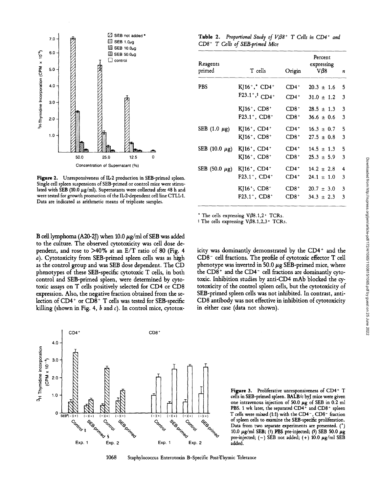

Figure 2. Unresponsiveness of IL-2 production in SEB-primed spleen. Single cell spleen suspensions of SEB-primed or control mice were stimulated with SEB (10.0  $\mu$ g/ml). Supernatants were collected after 48 h and were tested for growth promotion of the IL2-dependent cell line CTLL-1. Data are indicated as arithmetic means of triplicate samples.

| $\boxtimes$ SEB not added * | Table 2. Proportional Study of $V\beta8$ <sup>+</sup> T Cells in CD4 <sup>+</sup> and |
|-----------------------------|---------------------------------------------------------------------------------------|
| 2 SEB 1.0µg                 | CD8 <sup>+</sup> T Cells of SEB-primed Mice                                           |
| $M$ SEB 10.0.0              |                                                                                       |

| $\mathfrak{g}_{\mathfrak{p}}$<br><sup>9</sup> H-Thymidine Incorporation (CPM x | $6.0 -$<br>$5.0 -$                                                                                                                                     | $\Box$ SEB 50.0 <sub>µg</sub><br>$\Box$ control |      |      | Reagents<br>primed | T cells             | Origin                                                  | Percent<br>expressing<br>$V\beta8$ | $\boldsymbol{n}$ |  |
|--------------------------------------------------------------------------------|--------------------------------------------------------------------------------------------------------------------------------------------------------|-------------------------------------------------|------|------|--------------------|---------------------|---------------------------------------------------------|------------------------------------|------------------|--|
|                                                                                | $4.0 -$                                                                                                                                                |                                                 |      |      |                    | <b>PBS</b>          | $KJ16^+,^{\star}$ CD4 <sup>+</sup>                      | $CD4+$                             | $20.3 \pm 1.6$ 5 |  |
|                                                                                | $3.0 -$                                                                                                                                                |                                                 |      |      |                    |                     | $F23.1^+,^{\ddagger}CD4^+$                              | $CD4+$                             | $31.0 \pm 1.2$ 3 |  |
|                                                                                |                                                                                                                                                        |                                                 |      |      |                    |                     | $KJ16^+$ , CD8 <sup>+</sup>                             | $CD8+$                             | $28.5 \pm 1.3$ 3 |  |
|                                                                                | $2.0 -$                                                                                                                                                |                                                 |      |      |                    |                     | $F23.1^+$ , CD8 <sup>+</sup>                            | $CD8+$                             | $36.6 \pm 0.6$ 3 |  |
|                                                                                |                                                                                                                                                        |                                                 |      |      |                    | SEB $(1.0 \ \mu g)$ | KJ16 <sup>+</sup> , CD4 <sup>+</sup>                    | $CD4+$                             | $16.3 \pm 0.7$ 5 |  |
|                                                                                | $1.0 -$                                                                                                                                                |                                                 |      |      |                    |                     | $KJ16^+$ , CD8 <sup>+</sup>                             | $CD8+$                             | $27.5 \pm 0.8$ 3 |  |
|                                                                                |                                                                                                                                                        |                                                 |      |      |                    | SEB (10.0 $\mu$ g)  | $KJ16^+$ , CD4 <sup>+</sup>                             | $CD4+$                             | $14.5 \pm 1.3$ 5 |  |
|                                                                                |                                                                                                                                                        | 50.0                                            | 25.0 | 12.5 | 0                  |                     | $KJ16^+$ , CD8 <sup>+</sup>                             | $CD8+$                             | $25.3 \pm 5.9$ 3 |  |
| Concentration of Supernatant (%)                                               |                                                                                                                                                        |                                                 |      |      |                    |                     | SEB (50.0 $\mu$ g) KJ16 <sup>+</sup> , CD4 <sup>+</sup> | $CD4^+$                            | $14.2 \pm 2.8$ 4 |  |
| Figure 2. Unresponsiveness of IL-2 production in SEB-primed spleen.            |                                                                                                                                                        |                                                 |      |      |                    |                     | F23.1 <sup>+</sup> , CD4 <sup>+</sup>                   | $CD4+$                             | $24.1 \pm 1.0$ 3 |  |
|                                                                                | ingle cell spleen suspensions of SEB-primed or control mice were stimu-<br>ated with SEB (10.0 $\mu$ g/ml). Supernatants were collected after 48 h and |                                                 |      |      |                    |                     | KJ16 <sup>+</sup> , CD8 <sup>+</sup>                    | $CD8+$                             | $20.7 \pm 3.0$ 3 |  |
|                                                                                | vere tested for growth promotion of the IL-2-dependent cell line CTLL-1.<br>Data are indicated as arithmetic means of triplicate samples.              |                                                 |      |      |                    |                     | $F23.1^+$ , CD8 <sup>+</sup>                            | $CD8+$                             | $34.3 \pm 2.3$ 3 |  |

icity was dominantly demonstrated by the CD4<sup>+</sup> and the CD8- cell fractions . The profile of cytotoxic effector T cell phenotype was inverted in 50.0  $\mu$ g SEB-primed mice, where the CD8+ and the CD4- cell fractions are dominantly cytotoxic. Inhibition studies by anti-CD4 mAb blocked the cytotoxicity of the control spleen cells, but the cytotoxicity of SEB-primed spleen cells was not inhibited. In contrast, anti-CD8 antibody was not effective in inhibition of cytotoxicity

The cells expressing  $V\beta8.1,2+$  TCRs.

in either case (data not shown).

 $\ddagger$  The cells expressing V $\beta$ 8.1,2,3+ TCRs.

B cell lymphoma (A20-2J) when 10.0  $\mu$ g/ml of SEB was added to the culture. The observed cytotoxicity was cell dose dependent, and rose to >40% at an E/T ratio of 80 (Fig. 4 a). Cytotoxicity from SEB-primed spleen cells was as high as the control group and was SEB dose dependent. The CD phenotypes of these SEB-specific cytotoxic T cells, in both control and SEB-primed spleen, were determined by cytotoxic assays on T cells positively selected for CD4 or CD8 expression. Also, the negative fraction obtained from the selection of CD4+ or CD8+ T cells was tested for SEB-specific killing (shown in Fig. 4,  $b$  and  $c$ ). In control mice, cytotox-



Figure 3. Proliferative unresponsiveness of CD4+ T cells in SEB-primed spleen. BALB/c byJ mice were given one intravenous injection of 50.0  $\mu$ g of SEB in 0.2 ml PBS. 1 wk later, the separated CD4+ and CD8+ spleen T cells were mixed (1:1) with the CD4 $^{-}$ , CD8 $^{-}$  fraction  $\begin{array}{ccccc}\n\text{(–)} & \text{(–)} & \text{(–)} & \text{(–)} & \text{(–)} \\
\text{(–)} & \text{(–)} & \text{(–)} & \text{(–)} & \text{(–)} \\
\text{(–)} & \text{(–)} & \text{(–)} & \text{(–)} & \text{(–)} \\
\text{(–)} & \text{(–)} & \text{(–)} & \text{(–)} & \text{(–)} \\
\text{(–)} & \text{(–)} & \text{(–)} & \text{(–)} & \text{(–)} & \text{(–)} \\
\text{(–)} & \text{(–)} & \text{(–)} & \text{(–)} & \text{(–)} & \text{(–)} \\
\text{(–)} & \text{(–)} & \text{(–)} & \$ Data from two separate experiments are presented. (\*) 10.0  $\mu$ g/ml SEB; (\*) PBS pre-injected; (5) SEB 50.0  $\mu$ g

1068 Staphylococcus Enterotoxin B-Specific PostThymic Tolerance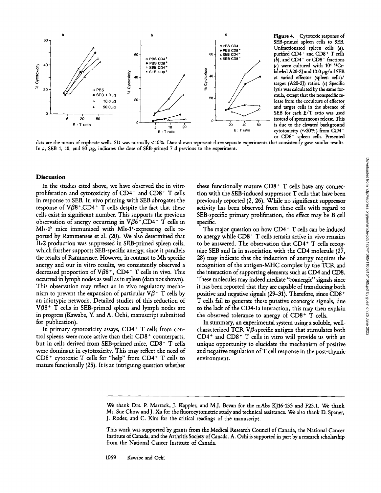

• PBS CD8<sup>-</sup><br>  $\angle$  SEB CD4<sup>-</sup><br>  $\angle$  SEB CD8<sup>-</sup><br>  $\angle$  (b), and CD4<sup>-</sup> or CD8<sup>-</sup> fractions  $(c)$  were cultured with  $10<sup>4</sup>$  <sup>51</sup>Crlabeled A20-2J and 10.0  $\mu$ g/ml SEB at varied effector (spleen cells)/ target (A20-2J) ratios. (c) Specific lysis was calculated by the same formula, except that the nonspecific release from the coculture of effector and target cells in the absence of SEB for each  $E/T$  ratio was used  $\overrightarrow{a}$   $\overrightarrow{a}$   $\overrightarrow{b}$  instead of spontaneous release. This cytotoxicity ( $\sim$ 20%) from CD4or CD8<sup>-</sup> spleen cells. Presented Figure 4. Cytotoxic response of SEB-primed spleen cells to SEB.  $\overline{OPES}$  CD4<sup>-</sup> Unfractionated spleen cells (a), purified  $CD4+$  and  $CD8+$  T cells

data are the means of triplicate wells. SD was normally <10%. Data shown represent three separate experiments that consistently gave similar results. In a, SEB 1, 10, and 50  $\mu$ g, indicates the dose of SEB-primed 7 d previous to the experiment.

### Discussion

In the studies cited above, we have observed the in vitro proliferation and cytotoxicity of CD4+ and CD8+ T cells in response to SEB. In vivo priming with SEB abrogates the response of  $V\beta8^+$ ,CD4<sup>+</sup> T cells despite the fact that these cells exist in significant number. This supports the previous observation of anergy occurring in  $V\beta6^+$ ,CD4<sup>+</sup> T cells in  $Mls-1<sup>b</sup>$  mice immunized with Mls-1<sup>2</sup>-expressing cells reported by Rammensee et al. (20). We also determined that IL-2 production was suppressed in SEB-primed spleen cells, which further supports SEB-specific anergy, since it parallels the results of Rammensee. However, in contrast to Mls-specific anergy and our in vitro results, we consistently observed <sup>a</sup> decreased proportion of  $V\beta8^+$ , CD4<sup>+</sup> T cells in vivo. This occurred in lymph nodes as well as in spleen (data not shown). This observation may reflect an in vivo regulatory mechanism to prevent the expansion of particular  $V\beta^+$  T cells by an idiotypic network. Detailed studies of this reduction of  $V\beta8$ <sup>+</sup> T cells in SEB-primed spleen and lymph nodes are in progress (Kawabe, Y. and A. Ochi, manuscript submitted for publication).

In primary cytotoxicity assays, CD4+ T cells from control spleens were more active than their  $CD8<sup>+</sup>$  counterparts, but in cells derived from SEB-primed mice, CD8+ T cells were dominant in cytotoxicity. This may reflect the need of CD8+ cytotoxic T cells for "help" from CD4+ T cells to mature functionally (25). It is an intriguing question whether

these functionally mature  $CDB^+$  T cells have any connection with the SEB-induced suppressor T cells that have been previously reported (2, 26) . While no significant suppressor activity has been observed from these cells with regard to SEB-specific primary proliferation, the effect may be B cell specific.

The major question on how CD4+ T cells can be induced to anergy while CD8+ T cells remain active in vivo remains to be answered. The observation that CD4+ T cells recognize SEB and la in association with the CD4 molecule (27, 28) may indicate that the induction of anergy requires the recognition of the antigen-MHC complex by the TCR and the interaction of supporting elements such as CD4 and CD8. These molecules may indeed mediate "coanergic" signals since it has been reported that they are capable of transducing both positive and negative signals (29-31). Therefore, since  $CD8<sup>+</sup>$ T cells fail to generate these putative coanergic signals, due to the lack of the CD4-Ia interaction, this may then explain the observed tolerance to anergy of  $CD8<sup>+</sup>$  T cells. we have observed the in vitro these functionally mature CDB<sup>\*</sup> T cells that a provide propose of Canada cancer in comparison that the propose of the first higher the first higher the Canada . This user is the propose of C

In summary, an experimental system using a soluble, wellcharacterized TCR  $V\beta$  specific antigen that stimulates both  $CD4<sup>+</sup>$  and  $CD8<sup>+</sup>$  T cells in vitro will provide us with an unique opportunity to elucidate the mechanism of positive and negative regulation of  $T$  cell response in the post-thymic environment.

We thank Drs. P. Marrack, J. Kappler, and M.J. Bevan for the mAbs KJ16-133 and F23.1. We thank Ms. Sue Chow and J. Xu for the fluorocytometric study and technical assistance. We also thank D. Spaner, J. Roder, and C. Kim for the critical readings of the manuscript.

This work was supported by grants from the Medical Research Council of Canada, the National Cancer Institute of Canada, and the Arthritis Society of Canada. A. Ochi is supported in part by a research scholarship<br>from the National Cancer Institute of Canada.